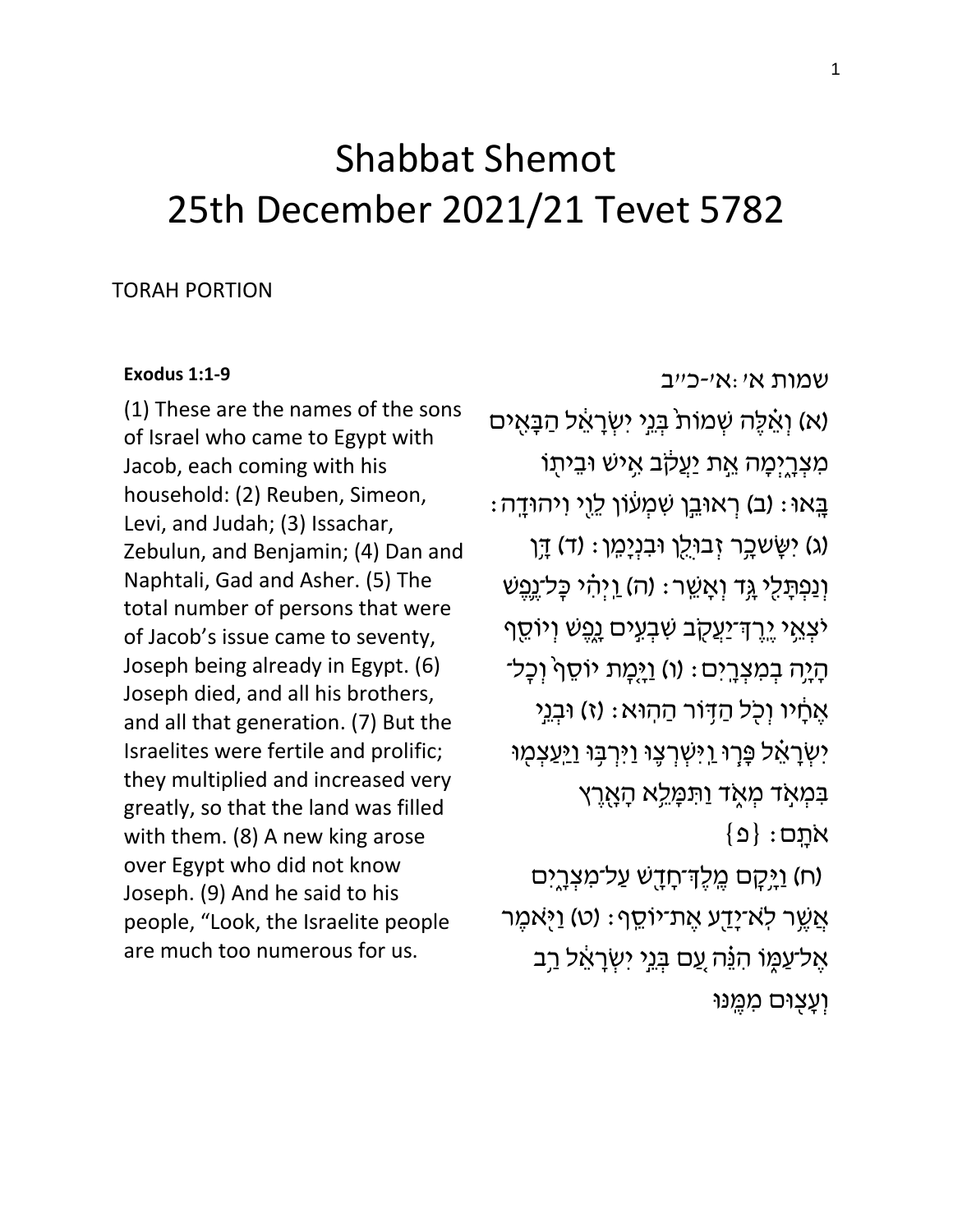## Shabbat Shemot 25th December 2021/21 Tevet 5782

## TORAH PORTION

## **[Exodus 1:1-9](https://www.sefaria.org/Exodus.1.1-22)**

(1) These are the names of the sons of Israel who came to Egypt with Jacob, each coming with his household: (2) Reuben, Simeon, Levi, and Judah; (3) Issachar, Zebulun, and Benjamin; (4) Dan and Naphtali, Gad and Asher. (5) The total number of persons that were of Jacob's issue came to seventy, Joseph being already in Egypt. (6) Joseph died, and all his brothers, and all that generation. (7) But the Israelites were fertile and prolific; they multiplied and increased very greatly, so that the land was filled with them. (8) A new king arose over Egypt who did not know Joseph. (9) And he said to his people, "Look, the Israelite people are much too numerous for us.

[שמות](https://www.sefaria.org/Exodus.1.1-22) [א׳:א׳-כ״ב](https://www.sefaria.org/Exodus.1.1-22)  (א) וְאֵ֫לֶה שְׁמוֹת בְּנֵי יִשְׂרָאֵל הַבָּאִים מִצְרֶיִמָ*ּ*ה אֱת יַעֲקֹב אֶישׁ וּבֵיתָוֹ בָּאוּ: (ב) רְאוּבֵן שִׁמְעוֹן לֵוֶי וִיהוּדָה: (ג) יְשֵׂשכָר זְבוּלֵן וּבְנְיָמֵן: (ד) דֵּן וְ נַפְתָּלֵי גֶּד וְאָשֵׁר: (ה) וַיְּהָי כָּל־נֶפֵשׁ י יִצְאֵי יֶרֶדְ־יַעֲקָב שִׁבְעִים נָפֶשׁ וְיוֹסֵף הָיָה בִמְצְרָיִם: (ו) וַיָּמָת יוֹסֵף וִכָּל־ ּ אֱסָ֫יו וְכָל הַדְּוֹר הַהְוּא: (ז) וּבְנֵי יִשְׂרָאֵ**ׁל פְּרָוּ** וַיִּשְׁרְצֶוּ וַיִּרְבָּוּ וַיַּעֲצִמְוּ בִּמְאָד מְאֶד וַתִּמָּלֵא הָאָרֵץ  $\{ \Omega \}$  : אתֵם )ח( וַיָ ִַֽ֥קׇּ ם מֶּ ָּֽ לְֶּך־חָ דָ ִ֖ ש עַ ל־מִ צְ רָ ָ֑יִם

ֿאֲשֶׁר לְא־יָדַע אֶת־יֹוֹסֵף: (ט) וַיָּאמֶר אֱל־עַמֵּו הִנֶּה עֵם בְּנֵי יִשְׂרָאֵל רַב וְעֲצִוּם מְמֵנּוּ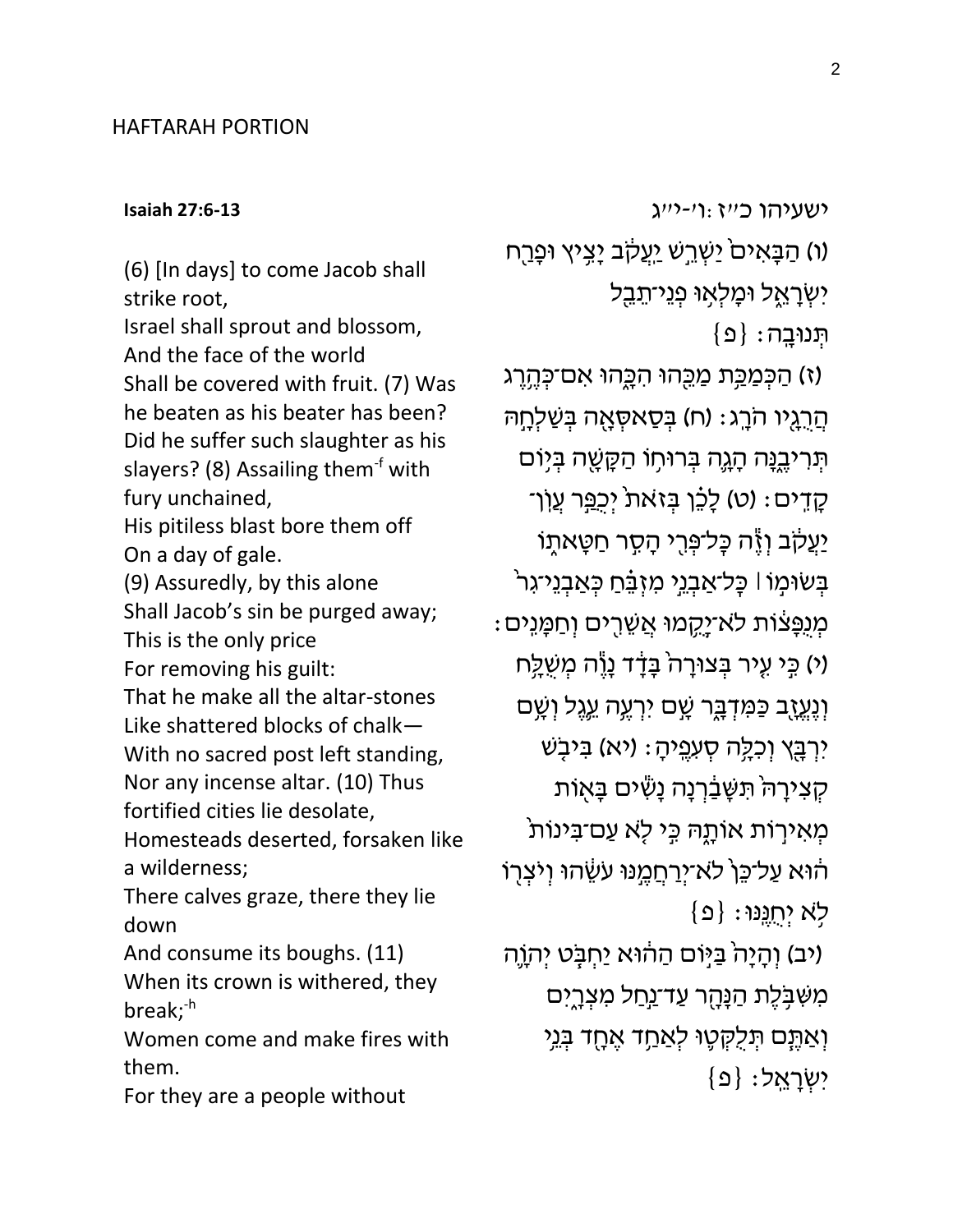## HAFTARAH PORTION

**[Isaiah 27:6-13](https://www.sefaria.org/Isaiah.27.6-13)**

(6) [In days] to come Jacob shall strike root, Israel shall sprout and blossom, And the face of the world Shall be covered with fruit. (7) Was he beaten as his beater has been? Did he suffer such slaughter as his slayers? (8) Assailing them $f$  with fury unchained, His pitiless blast bore them off On a day of gale. (9) Assuredly, by this alone Shall Jacob's sin be purged away; This is the only price For removing his guilt: That he make all the altar-stones Like shattered blocks of chalk— With no sacred post left standing, Nor any incense altar. (10) Thus fortified cities lie desolate, Homesteads deserted, forsaken like a wilderness; There calves graze, there they lie down And consume its boughs. (11) When its crown is withered, they break;-h Women come and make fires with them.

For they are a people without

(ו) הַבָּאִים<sup>ֹ</sup> יַשְׁרֵשׁ יַעֲקֹב יָצִיץ וּפָרַח יִשְׂרָאֶל וּמָלְאָוּ פְנֵי־תֵבֵל  $\{ \Omega \} : \mathbb{R}$ תְּ נוּבֵ (ז) הַכִּמַּכֵּת מַכֵּחוּ הִכֲחוּ אִם־כִּהְרֵג ּהֲרֶגְיו הֹרֶג: (ח) בִּסַאסְאָה בִּשַׁלְחָהּ ּתְּרִיבֶּנָּה הָגֶה בְּרוּחִוּ הַקָּשֶׁה בְּיָוֹם קָדִים: (ט) לָכֶֿן בְּזאת<sup>ּ</sup> יְכֻפַּר עֲוֹן־ יַעֲקֹב וְיֶּה כָּל־פְּרֶי הָסָר חַטָּאתֶוֹ בְּשׂוּמָוֹ | כְּל־אַבְגֵי מִזְבֵּ֫חַ כְּאַבְגֵי־גִר : מְנֻפָּצֹוֹת לֹא־יָקֶמוּ אֲשֵׁרֻים וְחַמָּוִים (י) כֵּי עִיר בְּצוּרָה<sup>י</sup> בָּדָד נָוֶֶה מְשֻׁלֵָּח וְ נֶעֱזֶב כַּמִּדְבֶּר שָׁם יִרְעֶה עֵגֶל וְשָׁם יִרְבָּץ וְכִלְָּה סְעִפֶּיהָ: (יא) בִּיבָשׁ קְצִירָה תִּשָּׁבַּ֫רְנָה נָשִׂים בָּאֻוֹת ֿמְאִירָוֹת אוֹתָהּ כִּי לָא עַם־בִּינוֹת הוּא עַל־כֵּן<sup>י</sup> לא־י<u>ְרַחֲמ</u>ֶנּוּ עַשֶּׂהוּ וְיֹצְרְוֹ  $\{ \mathfrak{Q} \}$  ; לְא יְחֻנֶּנּוּ יב) וְהָיָה<sup>י</sup> בַּיְּוֹם הַהוּא יַחְבָּט יְהְוֶה) מִשִּׁבָּלֶת הַנָּהָר עַד־<u>נַח</u>ל מִצְרֶיִם וְ אַתֵּם תִּלְקָטֶוּ לְאַחֵד אֱחָד בְּנֵי  $\{ \mathfrak{o} \} : \mathfrak{p}$ יִשְׁרַאֱל

[ישעיהו](https://www.sefaria.org/Isaiah.27.6-13) [כ״ז:ו׳-י״ג](https://www.sefaria.org/Isaiah.27.6-13)